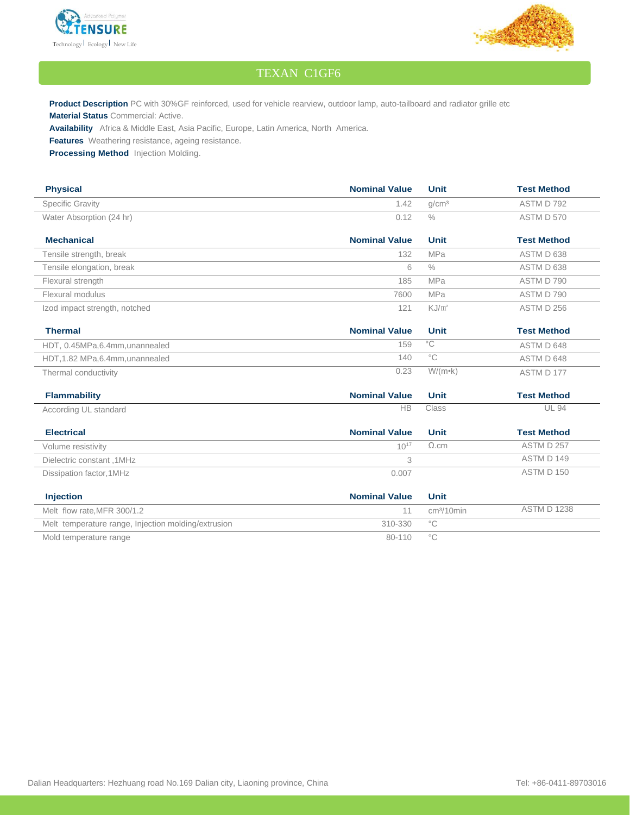



## TEXAN C1GF6

**Product Description** PC with 30%GF reinforced, used for vehicle rearview, outdoor lamp, auto-tailboard and radiator grille etc **Material Status** Commercial: Active.

**Availability** Africa & Middle East, Asia Pacific, Europe, Latin America, North America.

**Features** Weathering resistance, ageing resistance.

**Processing Method** Injection Molding.

| <b>Physical</b>                                     | <b>Nominal Value</b> | <b>Unit</b>       | <b>Test Method</b> |
|-----------------------------------------------------|----------------------|-------------------|--------------------|
| <b>Specific Gravity</b>                             | 1.42                 | q/cm <sup>3</sup> | ASTM D 792         |
| Water Absorption (24 hr)                            | 0.12                 | $\frac{0}{0}$     | ASTM D 570         |
| <b>Mechanical</b>                                   | <b>Nominal Value</b> | <b>Unit</b>       | <b>Test Method</b> |
| Tensile strength, break                             | 132                  | <b>MPa</b>        | ASTM D 638         |
| Tensile elongation, break                           | 6                    | $\frac{0}{0}$     | ASTM D 638         |
| Flexural strength                                   | 185                  | <b>MPa</b>        | ASTM D 790         |
| Flexural modulus                                    | 7600                 | <b>MPa</b>        | ASTM D 790         |
| Izod impact strength, notched                       | 121                  | KJ/m <sup>2</sup> | ASTM D 256         |
| <b>Thermal</b>                                      | <b>Nominal Value</b> | <b>Unit</b>       | <b>Test Method</b> |
| HDT, 0.45MPa,6.4mm, unannealed                      | 159                  | $\overline{C}$    | ASTM D 648         |
| HDT, 1.82 MPa, 6.4mm, unannealed                    | 140                  | $^{\circ}$ C      | ASTM D 648         |
| Thermal conductivity                                | 0.23                 | $W/(m \cdot k)$   | ASTM D 177         |
| <b>Flammability</b>                                 | <b>Nominal Value</b> | <b>Unit</b>       | <b>Test Method</b> |
| According UL standard                               | <b>HB</b>            | Class             | <b>UL 94</b>       |
| <b>Electrical</b>                                   | <b>Nominal Value</b> | <b>Unit</b>       | <b>Test Method</b> |
| Volume resistivity                                  | $10^{17}$            | $\Omega$ .cm      | ASTM D 257         |
| Dielectric constant, 1MHz                           | 3                    |                   | ASTM D 149         |
| Dissipation factor, 1MHz                            | 0.007                |                   | ASTM D 150         |
| <b>Injection</b>                                    | <b>Nominal Value</b> | <b>Unit</b>       |                    |
| Melt flow rate.MFR 300/1.2                          | 11                   | $cm3/10$ min      | <b>ASTM D 1238</b> |
| Melt temperature range, Injection molding/extrusion | 310-330              | $^{\circ}$ C      |                    |
| Mold temperature range                              | 80-110               | $^{\circ}$ C      |                    |